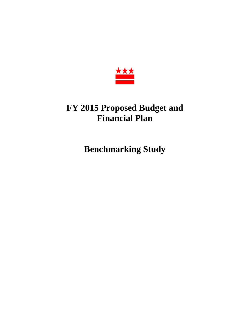

# **FY 2015 Proposed Budget and Financial Plan**

**Benchmarking Study**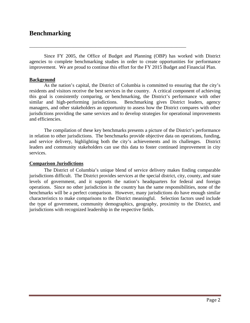## **Benchmarking**

Since FY 2005, the Office of Budget and Planning (OBP) has worked with District agencies to complete benchmarking studies in order to create opportunities for performance improvement. We are proud to continue this effort for the FY 2015 Budget and Financial Plan.

\_\_\_\_\_\_\_\_\_\_\_\_\_\_\_\_\_\_\_\_\_\_\_\_\_\_\_\_\_\_\_\_\_\_\_\_\_\_\_\_\_\_\_\_\_\_\_\_\_\_\_\_\_\_\_\_\_\_\_\_\_\_\_\_

#### **Background**

As the nation's capital, the District of Columbia is committed to ensuring that the city's residents and visitors receive the best services in the country. A critical component of achieving this goal is consistently comparing, or benchmarking, the District's performance with other similar and high-performing jurisdictions. Benchmarking gives District leaders, agency managers, and other stakeholders an opportunity to assess how the District compares with other jurisdictions providing the same services and to develop strategies for operational improvements and efficiencies.

The compilation of these key benchmarks presents a picture of the District's performance in relation to other jurisdictions. The benchmarks provide objective data on operations, funding, and service delivery, highlighting both the city's achievements and its challenges. District leaders and community stakeholders can use this data to foster continued improvement in city services.

#### **Comparison Jurisdictions**

The District of Columbia's unique blend of service delivery makes finding comparable jurisdictions difficult. The District provides services at the special district, city, county, and state levels of government, and it supports the nation's headquarters for federal and foreign operations. Since no other jurisdiction in the country has the same responsibilities, none of the benchmarks will be a perfect comparison. However, many jurisdictions do have enough similar characteristics to make comparisons to the District meaningful. Selection factors used include the type of government, community demographics, geography, proximity to the District, and jurisdictions with recognized leadership in the respective fields.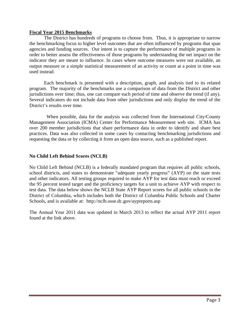#### **Fiscal Year 2015 Benchmarks**

 The District has hundreds of programs to choose from. Thus, it is appropriate to narrow the benchmarking focus to higher level outcomes that are often influenced by programs that span agencies and funding sources. Our intent is to capture the performance of multiple programs in order to better assess the effectiveness of those programs by understanding the net impact on the indicator they are meant to influence. In cases where outcome measures were not available, an output measure or a simple statistical measurement of an activity or count at a point in time was used instead.

 Each benchmark is presented with a description, graph, and analysis tied to its related program. The majority of the benchmarks use a comparison of data from the District and other jurisdictions over time; thus, one can compare each period of time and observe the trend (if any). Several indicators do not include data from other jurisdictions and only display the trend of the District's results over time.

 When possible, data for the analysis was collected from the International City/County Management Association (ICMA) Center for Performance Measurement web site. ICMA has over 200 member jurisdictions that share performance data in order to identify and share best practices. Data was also collected in some cases by contacting benchmarking jurisdictions and requesting the data or by collecting it from an open data source, such as a published report.

#### **No Child Left Behind Scores (NCLB)**

No Child Left Behind (NCLB) is a federally mandated program that requires all public schools, school districts, and states to demonstrate "adequate yearly progress" (AYP) on the state tests and other indicators. All testing groups required to make AYP for test data must reach or exceed the 95 percent tested target and the proficiency targets for a unit to achieve AYP with respect to test data. The data below shows the NCLB State AYP Report scores for all public schools in the District of Columbia, which includes both the District of Columbia Public Schools and Charter Schools, and is available at: http://nclb.osse.dc.gov/aypreports.asp

The Annual Year 2011 data was updated in March 2013 to reflect the actual AYP 2011 report found at the link above.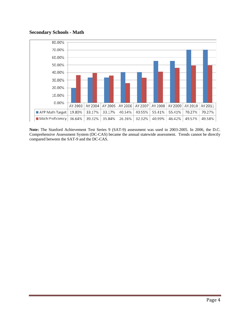#### **Secondary Schools - Math**

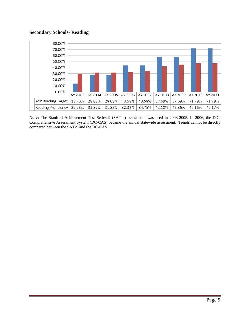## **Secondary Schools- Reading**

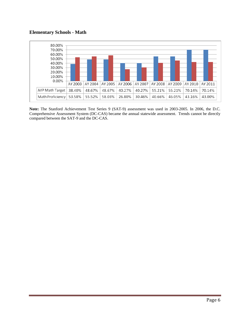## **Elementary Schools - Math**

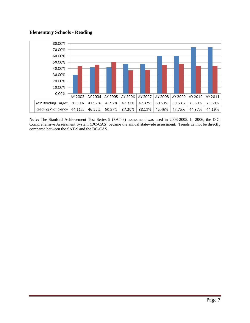## **Elementary Schools - Reading**

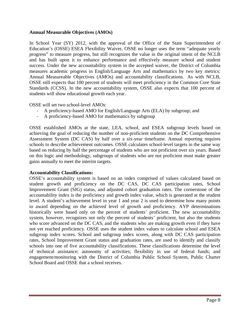#### **Annual Measurable Objectives (AMOs)**

In School Year (SY) 2012, with the approval of the Office of the State Superintendent of Education's (OSSE) ESEA Flexibility Waiver, OSSE no longer uses the term "adequate yearly progress" to measure progress, but still recognizes the value in the original intent of the NCLB and has built upon it to enhance performance and effectively measure school and student success. Under the new accountability system in the accepted waiver, the District of Columbia measures academic progress in English/Language Arts and mathematics by two key metrics: Annual Measureable Objectives (AMOs) and accountability classifications. As with NCLB, OSSE still expects that 100 percent of students will meet proficiency in the Common Core State Standards (CCSS). In the new accountability system, OSSE also expects that 100 percent of students will show educational growth each year.

OSSE will set two school-level AMOs:

- ‐ A proficiency-based AMO for English/Language Arts (ELA) by subgroup; and
- ‐ A proficiency-based AMO for mathematics by subgroup

OSSE established AMOs at the state, LEA, school, and ESEA subgroup levels based on achieving the goal of reducing the number of non-proficient students on the DC Comprehensive Assessment System (DC CAS) by half over a six-year timeframe. Annual reporting requires schools to describe achievement outcomes. OSSE calculates school-level targets in the same way based on reducing by half the percentage of students who are not proficient over six years. Based on this logic and methodology, subgroups of students who are not proficient must make greater gains annually to meet the interim targets.

## **Accountability Classifications:**

OSSE's accountability system is based on an index comprised of values calculated based on student growth and proficiency on the DC CAS, DC CAS participation rates, School Improvement Grant (SIG) status, and adjusted cohort graduation rates. The cornerstone of the accountability index is the proficiency and growth index value, which is generated at the student level. A student's achievement level in year 1 and year 2 is used to determine how many points to award depending on the achieved level of growth and proficiency. AYP determinations historically were based only on the percent of students' proficient. The new accountability system, however, recognizes not only the percent of students' proficient, but also the students who score advanced on the DC CAS, and the students who are making growth even if they have not yet reached proficiency. OSSE uses the student index values to calculate school and ESEA subgroup index scores. School and subgroup index scores, along with DC CAS participation rates, School Improvement Grant status and graduation rates, are used to identify and classify schools into one of five accountability classifications. These classifications determine the level of technical assistance; autonomy of activities; flexibility in use of federal funds; and engagement/monitoring with the District of Columbia Public School System, Public Charter School Board and OSSE that a school receives.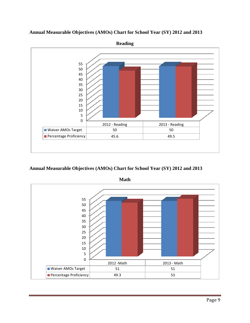

**Annual Measurable Objectives (AMOs) Chart for School Year (SY) 2012 and 2013** 

**Annual Measurable Objectives (AMOs) Chart for School Year (SY) 2012 and 2013** 



**Math**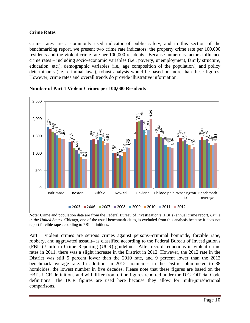## **Crime Rates**

Crime rates are a commonly used indicator of public safety, and in this section of the benchmarking report, we present two crime rate indicators: the property crime rate per 100,000 residents and the violent crime rate per 100,000 residents. Because numerous factors influence crime rates – including socio-economic variables (i.e., poverty, unemployment, family structure, education, etc.), demographic variables (i.e., age composition of the population), and policy determinants (i.e., criminal laws), robust analysis would be based on more than these figures. However, crime rates and overall trends do provide illustrative information.



#### **Number of Part 1 Violent Crimes per 100,000 Residents**

**Note:** Crime and population data are from the Federal Bureau of Investigation's (FBI's) annual crime report, *Crime in the United States*. Chicago, one of the usual benchmark cities, is excluded from this analysis because it does not report forcible rape according to FBI definitions.

Part 1 violent crimes are serious crimes against persons--criminal homicide, forcible rape, robbery, and aggravated assault--as classified according to the Federal Bureau of Investigation's (FBI's) Uniform Crime Reporting (UCR) guidelines. After record reductions in violent crime rates in 2011, there was a slight increase in the District in 2012. However, the 2012 rate in the District was still 5 percent lower than the 2010 rate, and 9 percent lower than the 2012 benchmark average rate. In addition, in 2012, homicides in the District plummeted to 88 homicides, the lowest number in five decades. Please note that these figures are based on the FBI's UCR definitions and will differ from crime figures reported under the D.C. Official Code definitions. The UCR figures are used here because they allow for multi-jurisdictional comparisons.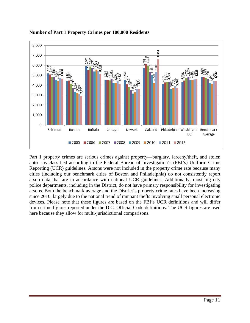

## **Number of Part 1 Property Crimes per 100,000 Residents**

Part 1 property crimes are serious crimes against property—burglary, larceny/theft, and stolen auto—as classified according to the Federal Bureau of Investigation's (FBI's) Uniform Crime Reporting (UCR) guidelines. Arsons were not included in the property crime rate because many cities (including our benchmark cities of Boston and Philadelphia) do not consistently report arson data that are in accordance with national UCR guidelines. Additionally, most big city police departments, including in the District, do not have primary responsibility for investigating arsons. Both the benchmark average and the District's property crime rates have been increasing since 2010, largely due to the national trend of rampant thefts involving small personal electronic devices. Please note that these figures are based on the FBI's UCR definitions and will differ from crime figures reported under the D.C. Official Code definitions. The UCR figures are used here because they allow for multi-jurisdictional comparisons.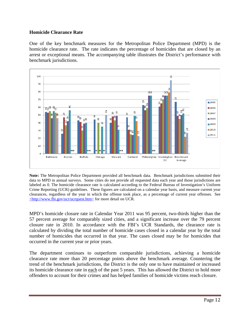## **Homicide Clearance Rate**

One of the key benchmark measures for the Metropolitan Police Department (MPD) is the homicide clearance rate. The rate indicates the percentage of homicides that are closed by an arrest or exceptional means. The accompanying table illustrates the District's performance with benchmark jurisdictions.



**Note:** The Metropolitan Police Department provided all benchmark data. Benchmark jurisdictions submitted their data to MPD in annual surveys. Some cities do not provide all requested data each year and those jurisdictions are labeled as 0. The homicide clearance rate is calculated according to the Federal Bureau of Investigation's Uniform Crime Reporting (UCR) guidelines. These figures are calculated on a calendar year basis, and measure current year clearances, regardless of the year in which the offense took place, as a percentage of current year offenses. See <http://www.fbi.gov/ucr/ucrquest.htm> for more detail on UCR.

MPD's homicide closure rate in Calendar Year 2011 was 95 percent, two-thirds higher than the 57 percent average for comparably sized cities, and a significant increase over the 79 percent closure rate in 2010. In accordance with the FBI's UCR Standards, the clearance rate is calculated by dividing the total number of homicide cases closed in a calendar year by the total number of homicides that occurred in that year. The cases closed may be for homicides that occurred in the current year or prior years.

The department continues to outperform comparable jurisdictions, achieving a homicide clearance rate more than 20 percentage points above the benchmark average. Countering the trend of the benchmark jurisdictions, the District is the only one to have maintained or increased its homicide clearance rate in each of the past 5 years. This has allowed the District to hold more offenders to account for their crimes and has helped families of homicide victims reach closure.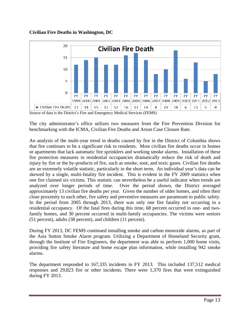## **Civilian Fire Deaths in Washington, DC**



Source of data is the District's Fire and Emergency Medical Services (FEMS)

The city administrator's office utilizes two measures from the Fire Prevention Division for benchmarking with the ICMA, Civilian Fire Deaths and Arson Case Closure Rate.

An analysis of the multi-year trend in deaths caused by fire in the District of Columbia shows that fire continues to be a significant risk to residents. Most civilian fire deaths occur in homes or apartments that lack automatic fire sprinklers and working smoke alarms. Installation of these fire protection measures in residential occupancies dramatically reduce the risk of death and injury by fire or the by-products of fire, such as smoke, soot, and toxic gases. Civilian fire deaths are an extremely volatile statistic, particularly in the short term. An individual year's data can be skewed by a single, multi-fatality fire incident. This is evident in the FY 2009 statistics when one fire claimed six victims. This statistic can nevertheless be a useful indicator when trends are analyzed over longer periods of time. Over the period shown, the District averaged approximately 13 civilian fire deaths per year. Given the number of older homes, and often their close proximity to each other, fire safety and preventive measures are paramount to public safety. In the period from 2005 through 2013, there was only one fire fatality not occurring in a residential occupancy. Of the fatal fires during this time, 68 percent occurred in one- and twofamily homes, and 30 percent occurred in multi-family occupancies. The victims were seniors (51 percent), adults (38 percent), and children (11 percent).

During FY 2013, DC FEMS continued installing smoke and carbon monoxide alarms, as part of the Asia Sutton Smoke Alarm program. Utilizing a Department of Homeland Security grant, through the Institute of Fire Engineers, the department was able to perform 1,000 home visits, providing fire safety literature and home escape plan information, while installing 942 smoke alarms.

The department responded to 167,335 incidents in FY 2013. This included 137,512 medical responses and 29,823 fire or other incidents. There were 1,370 fires that were extinguished during FY 2013.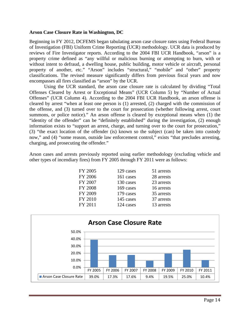#### **Arson Case Closure Rate in Washington, DC**

Beginning in FY 2012, DCFEMS began tabulating arson case closure rates using Federal Bureau of Investigation (FBI) Uniform Crime Reporting (UCR) methodology. UCR data is produced by reviews of Fire Investigator reports. According to the 2004 FBI UCR Handbook, "arson" is a property crime defined as "any willful or malicious burning or attempting to burn, with or without intent to defraud, a dwelling house, public building, motor vehicle or aircraft, personal property of another, etc." "Arson" includes "structural," "mobile" and "other" property classifications. The revised measure significantly differs from previous fiscal years and now encompasses all fires classified as "arson" by the UCR.

Using the UCR standard, the arson case closure rate is calculated by dividing "Total Offenses Cleared by Arrest or Exceptional Means" (UCR Column 5) by "Number of Actual Offenses" (UCR Column 4). According to the 2004 FBI UCR Handbook, an arson offense is cleared by arrest "when at least one person is (1) arrested, (2) charged with the commission of the offense, and (3) turned over to the court for prosecution (whether following arrest, court summons, or police notice)." An arson offense is cleared by exceptional means when (1) the "identity of the offender" can be "definitely established" during the investigation, (2) enough information exists to "support an arrest, charge, and turning over to the court for prosecution," (3) "the exact location of the offender (is) known so the subject (can) be taken into custody now," and (4) "some reason, outside law enforcement control," exists "that precludes arresting, charging, and prosecuting the offender."

Arson cases and arrests previously reported using earlier methodology (excluding vehicle and other types of incendiary fires) from FY 2005 through FY 2011 were as follows:

| FY 2005        | 129 cases | 51 arrests |
|----------------|-----------|------------|
| FY 2006        | 161 cases | 28 arrests |
| FY 2007        | 130 cases | 23 arrests |
| <b>FY 2008</b> | 169 cases | 16 arrests |
| FY 2009        | 179 cases | 35 arrests |
| FY 2010        | 145 cases | 37 arrests |
| FY 2011        | 124 cases | 13 arrests |
|                |           |            |

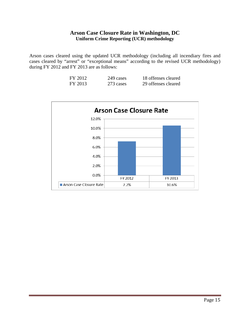## **Arson Case Closure Rate in Washington, DC Uniform Crime Reporting (UCR) methodology**

Arson cases cleared using the updated UCR methodology (including all incendiary fires and cases cleared by "arrest" or "exceptional means" according to the revised UCR methodology) during FY 2012 and FY 2013 are as follows:

| FY 2012 | 249 cases | 18 offenses cleared |
|---------|-----------|---------------------|
| FY 2013 | 273 cases | 29 offenses cleared |

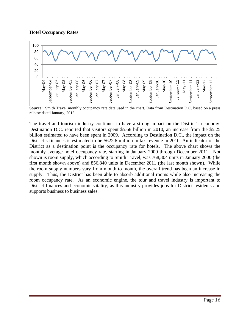#### **Hotel Occupancy Rates**



**Source:** Smith Travel monthly occupancy rate data used in the chart. Data from Destination D.C. based on a press release dated January, 2013.

The travel and tourism industry continues to have a strong impact on the District's economy. Destination D.C. reported that visitors spent \$5.68 billion in 2010, an increase from the \$5.25 billion estimated to have been spent in 2009. According to Destination D.C., the impact on the District's finances is estimated to be \$622.6 million in tax revenue in 2010. An indicator of the District as a destination point is the occupancy rate for hotels. The above chart shows the monthly average hotel occupancy rate, starting in January 2000 through December 2011. Not shown is room supply, which according to Smith Travel, was 768,304 units in January 2000 (the first month shown above) and 856,840 units in December 2011 (the last month shown). While the room supply numbers vary from month to month, the overall trend has been an increase in supply. Thus, the District has been able to absorb additional rooms while also increasing the room occupancy rate. As an economic engine, the tour and travel industry is important to District finances and economic vitality, as this industry provides jobs for District residents and supports business to business sales.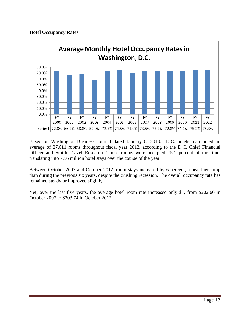## **Hotel Occupancy Rates**



Based on Washington Business Journal dated January 8, 2013. D.C. hotels maintained an average of 27,611 rooms throughout fiscal year 2012, according to the D.C. Chief Financial Officer and Smith Travel Research. Those rooms were occupied 75.1 percent of the time, translating into 7.56 million hotel stays over the course of the year.

Between October 2007 and October 2012, room stays increased by 6 percent, a healthier jump than during the previous six years, despite the crushing recession. The overall occupancy rate has remained steady or improved slightly.

Yet, over the last five years, the average hotel room rate increased only \$1, from \$202.60 in October 2007 to \$203.74 in October 2012.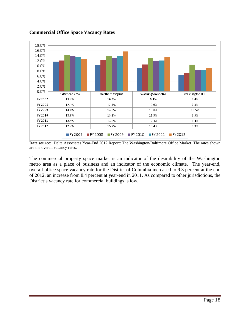

#### **Commercial Office Space Vacancy Rates**

**Date source:** Delta Associates Year-End 2012 Report: The Washington/Baltimore Office Market. The rates shown are the overall vacancy rates.

The commercial property space market is an indicator of the desirability of the Washington metro area as a place of business and an indicator of the economic climate. The year-end, overall office space vacancy rate for the District of Columbia increased to 9.3 percent at the end of 2012, an increase from 8.4 percent at year-end in 2011. As compared to other jurisdictions, the District's vacancy rate for commercial buildings is low.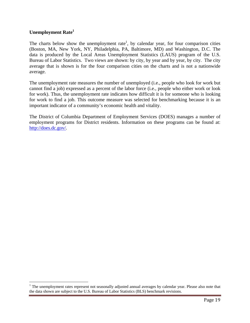#### **Unemployment Rate1**

 $\overline{a}$ 

The charts below show the unemployment rate<sup>1</sup>, by calendar year, for four comparison cities (Boston, MA, New York, NY, Philadelphia, PA, Baltimore, MD) and Washington, D.C. The data is produced by the Local Areas Unemployment Statistics (LAUS) program of the U.S. Bureau of Labor Statistics. Two views are shown: by city, by year and by year, by city. The city average that is shown is for the four comparison cities on the charts and is not a nationwide average.

The unemployment rate measures the number of unemployed (i.e., people who look for work but cannot find a job) expressed as a percent of the labor force (i.e., people who either work or look for work). Thus, the unemployment rate indicates how difficult it is for someone who is looking for work to find a job. This outcome measure was selected for benchmarking because it is an important indicator of a community's economic health and vitality.

The District of Columbia Department of Employment Services (DOES) manages a number of employment programs for District residents. Information on these programs can be found at: http://does.dc.gov/.

<sup>&</sup>lt;sup>1</sup> The unemployment rates represent not seasonally adjusted annual averages by calendar year. Please also note that the data shown are subject to the U.S. Bureau of Labor Statistics (BLS) benchmark revisions.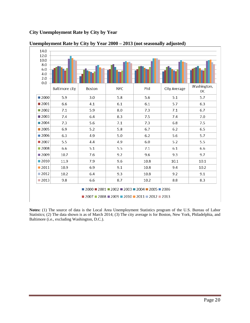## **City Unemployment Rate by City by Year**



#### **Unemployment Rate by City by Year 2000 – 2013 (not seasonally adjusted)**

**Notes:** (1) The source of data is the Local Area Unemployment Statistics program of the U.S. Bureau of Labor Statistics; (2) The data shown is as of March 2014; (3) The city average is for Boston, New York, Philadelphia, and Baltimore (i.e., excluding Washington, D.C.).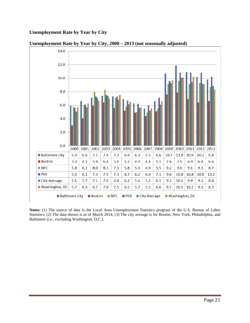## **Unemployment Rate by Year by City**



**Unemployment Rate by Year by City, 2000 – 2013 (not seasonally adjusted)** 

**Notes:** (1) The source of data is the Local Area Unemployment Statistics program of the U.S. Bureau of Labor Statistics; (2) The data shown is as of March 2014; (3) The city average is for Boston, New York, Philadelphia, and Baltimore (i.e., excluding Washington, D.C.).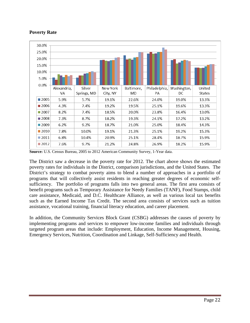

## **Poverty Rate**

**Source:** U.S. Census Bureau, 2005 to 2012 American Community Survey, 1-Year data.

The District saw a decrease in the poverty rate for 2012. The chart above shows the estimated poverty rates for individuals in the District, comparison jurisdictions, and the United States. The District's strategy to combat poverty aims to blend a number of approaches in a portfolio of programs that will collectively assist residents in reaching greater degrees of economic selfsufficiency. The portfolio of programs falls into two general areas. The first area consists of benefit programs such as Temporary Assistance for Needy Families (TANF), Food Stamps, child care assistance, Medicaid, and D.C. Healthcare Alliance, as well as various local tax benefits such as the Earned Income Tax Credit. The second area consists of services such as tuition assistance, vocational training, financial literacy education, and career placement.

In addition, the Community Services Block Grant (CSBG) addresses the causes of poverty by implementing programs and services to empower low-income families and individuals through targeted program areas that include: Employment, Education, Income Management, Housing, Emergency Services, Nutrition, Coordination and Linkage, Self-Sufficiency and Health.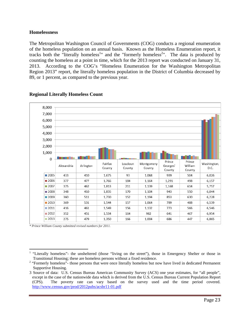#### **Homelessness**

The Metropolitan Washington Council of Governments (COG) conducts a regional enumeration of the homeless population on an annual basis. Known as the Homeless Enumeration report, it tracks both the "literally homeless<sup>1</sup>" and the "formerly homeless<sup>2</sup>". The data is produced by counting the homeless at a point in time, which for the 2013 report was conducted on January 31, 2013. According to the COG's "Homeless Enumeration for the Washington Metropolitan Region 2013" report, the literally homeless population in the District of Columbia decreased by 89, or 1 percent, as compared to the previous year.



## **Regional Literally Homeless Count**

*\* Prince William County submitted revised numbers for 2011.*

 $\overline{a}$ 1 "Literally homeless"- the unsheltered (those "living on the street"), those in Emergency Shelter or those in Transitional Housing; these are homeless persons without a fixed residence. 2

<sup>&</sup>lt;sup>2</sup> "Formerly homeless"- those persons that were once literally homeless but now have lived in dedicated Permanent Supportive Housing.

<sup>3</sup> Source of data: U.S. Census Bureau American Community Survey (ACS) one year estimates, for "all people", except in the case of the nationwide data which is derived from the U.S. Census Bureau Current Population Report (CPS). The poverty rate can vary based on the survey used and the time period covered. http://www.census.gov/prod/2012pubs/acsbr11-01.pdf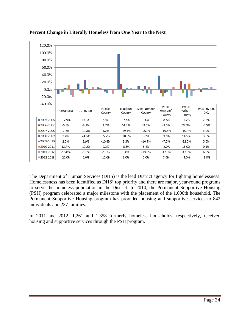



The Department of Human Services (DHS) is the lead District agency for fighting homelessness. Homelessness has been identified as DHS' top priority and there are major, year-round programs to serve the homeless population in the District. In 2010, the Permanent Supportive Housing (PSH) program celebrated a major milestone with the placement of the 1,000th household. The Permanent Supportive Housing program has provided housing and supportive services to 842 individuals and 237 families.

In 2011 and 2012, 1,261 and 1,358 formerly homeless households, respectively, received housing and supportive services through the PSH program.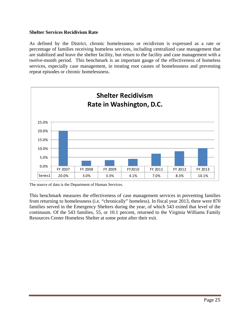#### **Shelter Services Recidivism Rate**

As defined by the District, chronic homelessness or recidivism is expressed as a rate or percentage of families receiving homeless services, including centralized case management that are stabilized and leave the shelter facility, but return to the facility and case management with a twelve-month period. This benchmark is an important gauge of the effectiveness of homeless services, especially case management, in treating root causes of homelessness and preventing repeat episodes or chronic homelessness.



The source of data is the Department of Human Services.

This benchmark measures the effectiveness of case management services in preventing families from returning to homelessness (i.e. "chronically" homeless). In fiscal year 2013, there were 870 families served in the Emergency Shelters during the year, of which 543 exited that level of the continuum. Of the 543 families, 55, or 10.1 percent, returned to the Virginia Williams Family Resources Center Homeless Shelter at some point after their exit.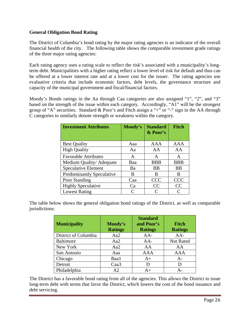## **General Obligation Bond Rating**

The District of Columbia's bond rating by the major rating agencies is an indicator of the overall financial health of the city. The following table shows the comparable investment grade ratings of the three major rating agencies:

Each rating agency uses a rating scale to reflect the risk's associated with a municipality's longterm debt. Municipalities with a higher rating reflect a lower level of risk for default and thus can be offered at a lower interest rate and at a lower cost for the issuer. The rating agencies use evaluative criteria that include economic factors, debt levels, the governance structure and capacity of the municipal government and fiscal/financial factors.

Moody's Bonds ratings in the Aa through Caa categories are also assigned "1", "2", and "3" based on the strength of the issue within each category. Accordingly, "A1" will be the strongest group of "A" securities. Standard & Poor's and Fitch assign a "+" or "-" sign in the AA through C categories to similarly denote strength or weakness within the category.

| <b>Investment Attributes</b>     | Moody's   | <b>Standard</b><br>& Poor's | <b>Fitch</b>  |
|----------------------------------|-----------|-----------------------------|---------------|
| <b>Best Quality</b>              | Aaa       | AAA                         | AAA           |
| <b>High Quality</b>              | Aa        | AA                          | AA            |
| <b>Favorable Attributes</b>      | A         | A                           | A             |
| Medium Quality/Adequate          | Baa       | <b>BBB</b>                  | <b>BBB</b>    |
| <b>Speculative Element</b>       | Ba        | <b>BB</b>                   | <b>BB</b>     |
| <b>Predominantly Speculative</b> | B         | B                           | B             |
| Poor Standing                    | Caa       | <b>CCC</b>                  | <b>CCC</b>    |
| <b>Highly Speculative</b>        | Ca        | CC                          | CC            |
| <b>Lowest Rating</b>             | $\subset$ |                             | $\mathcal{C}$ |

The table below shows the general obligation bond ratings of the District, as well as comparable jurisdictions:

| <b>Municipality</b>  | Moody's<br><b>Ratings</b> | <b>Standard</b><br>and Poor's<br><b>Ratings</b> | <b>Fitch</b><br><b>Ratings</b> |
|----------------------|---------------------------|-------------------------------------------------|--------------------------------|
| District of Columbia | Aa2                       | $AA-$                                           | $AA-$                          |
| <b>Baltimore</b>     | Aa2                       | $AA-$                                           | Not Rated                      |
| New York             | Aa2                       | AA                                              | AA                             |
| San Antonio          | Aaa                       | <b>AAA</b>                                      | <b>AAA</b>                     |
| Chicago              | Baa1                      | $A+$                                            | $A-$                           |
| Detroit              | Caa <sub>3</sub>          |                                                 | D                              |
| Philadelphia         | A2                        | $A +$                                           | $A-$                           |

The District has a favorable bond rating from all of the agencies. This allows the District to issue long-term debt with terms that favor the District, which lowers the cost of the bond issuance and debt servicing.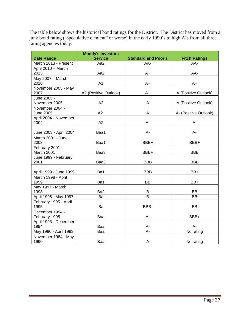The table below shows the historical bond ratings for the District. The District has moved from a junk bond rating ("speculative element" or worse) in the early 1990's to high A's from all three rating agencies today.

|                                  | <b>Moody's Investors</b> |                            |                       |
|----------------------------------|--------------------------|----------------------------|-----------------------|
| <b>Date Range</b>                | <b>Service</b>           | <b>Standard and Poor's</b> | <b>Fitch Ratings</b>  |
| March 2013 - Present             | Aa2                      | AA-                        | AA-                   |
| April 2010 - March               |                          |                            |                       |
| 2013                             | Aa2                      | A+                         | AA-                   |
| May 2007 - March<br>2010         | A1                       | A+                         | A+                    |
| November 2005 - May<br>2007      | A2 (Positive Outlook)    | A+                         | A (Positive Outlook)  |
| June 2005 -<br>November 2005     | A2                       | A                          | A (Positive Outlook)  |
| November 2004 -                  |                          |                            |                       |
| <b>June 2005</b>                 | A2                       | A                          | A- (Positive Outlook) |
| April 2004 - November<br>2004    | A2                       | A-                         | А-                    |
| June 2003 - April 2004           | Baa1                     | A-                         | A-                    |
| March 2001 - June<br>2003        | Baa1                     | BBB+                       | BBB+                  |
| February 2001 -<br>March 2001    | Baa3                     | BBB+                       | <b>BBB</b>            |
| June 1999 - February             |                          |                            |                       |
| 2001                             | Baa3                     | <b>BBB</b>                 | <b>BBB</b>            |
| April 1999 - June 1999           | Ba1                      | <b>BBB</b>                 | BB+                   |
| March 1998 - April<br>1999       | Ba1                      | <b>BB</b>                  | BB+                   |
| May 1997 - March<br>1998         | Ba <sub>2</sub>          | B                          | <b>BB</b>             |
| April 1995 - May 1997            | Ba                       | B                          | <b>BB</b>             |
| February 1995 - April<br>1995    | Ba                       | BBB-                       | <b>BB</b>             |
| December 1994 -<br>February 1995 | Baa                      | A-                         | BBB+                  |
| April 1993 - December<br>1994    | Baa                      | A-                         | A-                    |
| May 1990 - April 1993            | Baa                      | $A -$                      | No rating             |
| November 1984 - May<br>1990      | Baa                      | A                          | No rating             |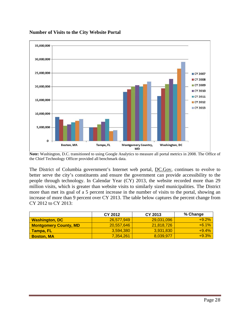

#### **Number of Visits to the City Website Portal**

The District of Columbia government's Internet web portal, DC.Gov, continues to evolve to better serve the city's constituents and ensure the government can provide accessibility to the people through technology. In Calendar Year (CY) 2013, the website recorded more than 29 million visits, which is greater than website visits to similarly sized municipalities. The District more than met its goal of a 5 percent increase in the number of visits to the portal, showing an increase of more than 9 percent over CY 2013. The table below captures the percent change from CY 2012 to CY 2013:

|                              | CY 2012    | CY 2013    | % Change |
|------------------------------|------------|------------|----------|
| <b>Washington, DC</b>        | 26.577.949 | 29.031.096 | $+9.2%$  |
| <b>Montgomery County, MD</b> | 20,557,646 | 21,818,726 | $+6.1%$  |
| <b>Tampa, FL</b>             | 3.594.380  | 3.931.830  | $+9.4%$  |
| <b>Boston, MA</b>            | 7.354.261  | 8,039,977  | $+9.3%$  |

**Note:** Washington, D.C. transitioned to using Google Analytics to measure all portal metrics in 2008. The Office of the Chief Technology Officer provided all benchmark data.